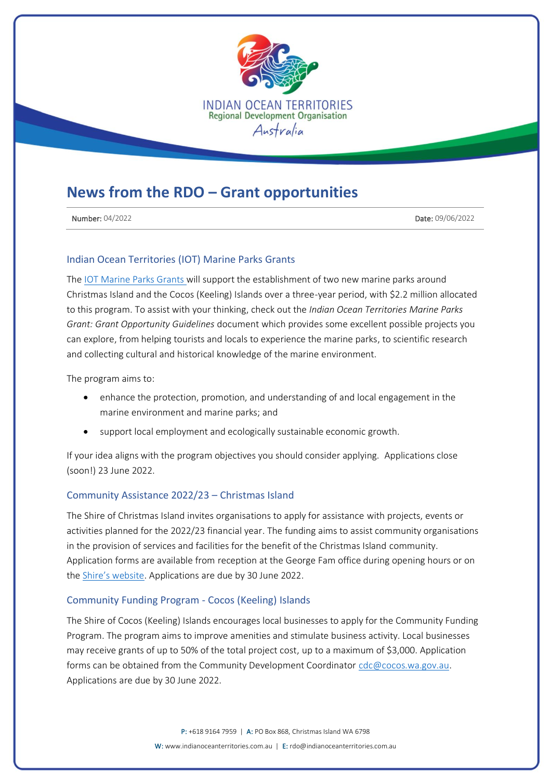

# **News from the RDO – Grant opportunities**

**Number: 04/2022** Date: 09/06/2022

## Indian Ocean Territories (IOT) Marine Parks Grants

The [IOT Marine Parks Grants w](https://www.grants.gov.au/Go/Show?GoUuid=3f71f566-ac82-4e25-83c3-5c2cffad3ed4)ill support the establishment of two new marine parks around Christmas Island and the Cocos (Keeling) Islands over a three-year period, with \$2.2 million allocated to this program. To assist with your thinking, check out the *Indian Ocean Territories Marine Parks Grant: Grant Opportunity Guidelines* document which provides some excellent possible projects you can explore, from helping tourists and locals to experience the marine parks, to scientific research and collecting cultural and historical knowledge of the marine environment.

The program aims to:

- enhance the protection, promotion, and understanding of and local engagement in the marine environment and marine parks; and
- support local employment and ecologically sustainable economic growth.

If your idea aligns with the program objectives you should consider applying. Applications close (soon!) 23 June 2022.

#### Community Assistance 2022/23 – Christmas Island

The Shire of Christmas Island invites organisations to apply for assistance with projects, events or activities planned for the 2022/23 financial year. The funding aims to assist community organisations in the provision of services and facilities for the benefit of the Christmas Island community. Application forms are available from reception at the George Fam office during opening hours or on the [Shire's website](http://www.shire.gov.cx/). Applications are due by 30 June 2022.

#### Community Funding Program - Cocos (Keeling) Islands

The Shire of Cocos (Keeling) Islands encourages local businesses to apply for the Community Funding Program. The program aims to improve amenities and stimulate business activity. Local businesses may receive grants of up to 50% of the total project cost, up to a maximum of \$3,000. Application forms can be obtained from the Community Development Coordinator [cdc@cocos.wa.gov.au.](mailto:cdc@cocos.wa.gov.au) Applications are due by 30 June 2022.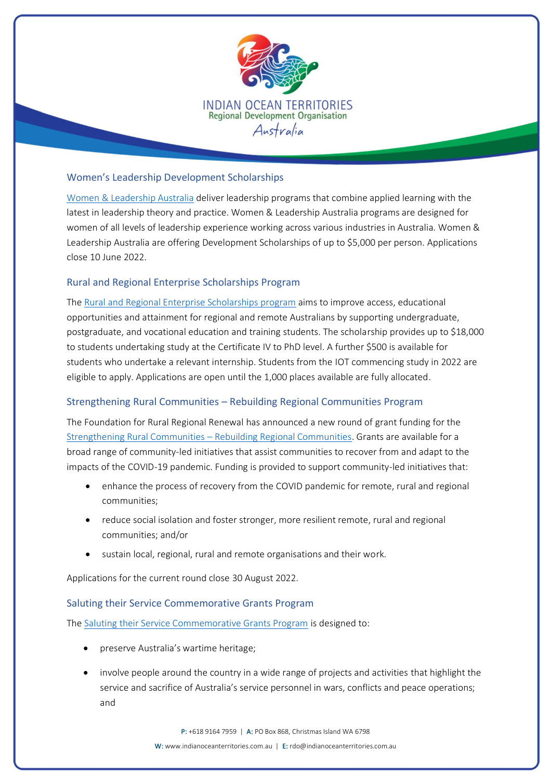

# Women's Leadership Development Scholarships

[Women & Leadership Australia](https://www.wla.edu.au/grantsedm.html) deliver leadership programs that combine applied learning with the latest in leadership theory and practice. Women & Leadership Australia programs are designed for women of all levels of leadership experience working across various industries in Australia. Women & Leadership Australia are offering Development Scholarships of up to \$5,000 per person. Applications close 10 June 2022.

# Rural and Regional Enterprise Scholarships Program

The [Rural and Regional Enterprise Scholarships program](https://www.dese.gov.au/rres) aims to improve access, educational opportunities and attainment for regional and remote Australians by supporting undergraduate, postgraduate, and vocational education and training students. The scholarship provides up to \$18,000 to students undertaking study at the Certificate IV to PhD level. A further \$500 is available for students who undertake a relevant internship. Students from the IOT commencing study in 2022 are eligible to apply. Applications are open until the 1,000 places available are fully allocated.

## Strengthening Rural Communities – Rebuilding Regional Communities Program

The Foundation for Rural Regional Renewal has announced a new round of grant funding for the [Strengthening Rural Communities](https://frrr.org.au/funding/place/src-rebuilding-regional-communities/) – Rebuilding Regional Communities. Grants are available for a broad range of community-led initiatives that assist communities to recover from and adapt to the impacts of the COVID-19 pandemic. Funding is provided to support community-led initiatives that:

- enhance the process of recovery from the COVID pandemic for remote, rural and regional communities;
- reduce social isolation and foster stronger, more resilient remote, rural and regional communities; and/or
- sustain local, regional, rural and remote organisations and their work.

Applications for the current round close 30 August 2022.

## Saluting their Service Commemorative Grants Program

The [Saluting their Service Commemorative Grants Program](https://www.communitygrants.gov.au/grants/2021-6131) is designed to:

- preserve Australia's wartime heritage;
- involve people around the country in a wide range of projects and activities that highlight the service and sacrifice of Australia's service personnel in wars, conflicts and peace operations; and